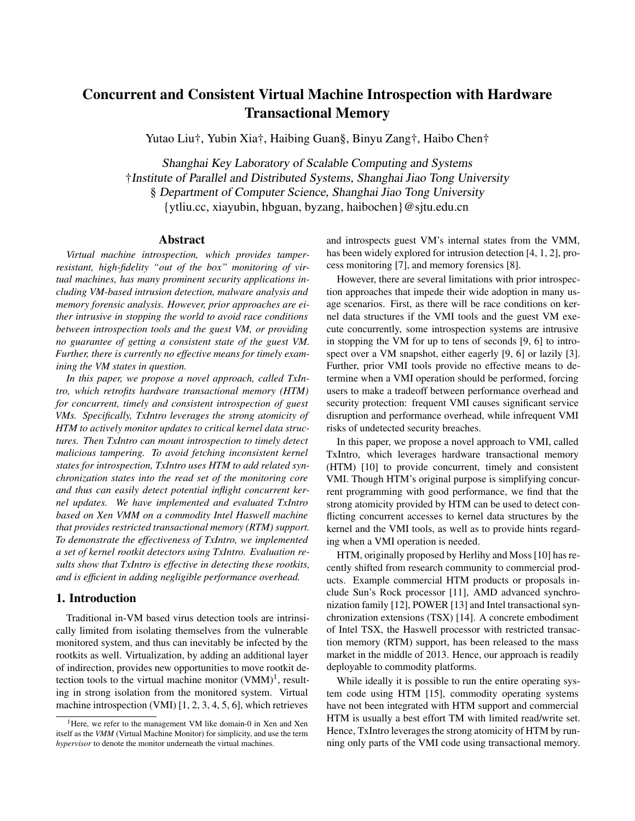# Concurrent and Consistent Virtual Machine Introspection with Hardware Transactional Memory

Yutao Liu†, Yubin Xia†, Haibing Guan§, Binyu Zang†, Haibo Chen†

Shanghai Key Laboratory of Scalable Computing and Systems †Institute of Parallel and Distributed Systems, Shanghai Jiao Tong University § Department of Computer Science, Shanghai Jiao Tong University {ytliu.cc, xiayubin, hbguan, byzang, haibochen}@sjtu.edu.cn

# Abstract

*Virtual machine introspection, which provides tamperresistant, high-fidelity "out of the box" monitoring of virtual machines, has many prominent security applications including VM-based intrusion detection, malware analysis and memory forensic analysis. However, prior approaches are either intrusive in stopping the world to avoid race conditions between introspection tools and the guest VM, or providing no guarantee of getting a consistent state of the guest VM. Further, there is currently no effective means for timely examining the VM states in question.*

*In this paper, we propose a novel approach, called TxIntro, which retrofits hardware transactional memory (HTM) for concurrent, timely and consistent introspection of guest VMs. Specifically, TxIntro leverages the strong atomicity of HTM to actively monitor updates to critical kernel data structures. Then TxIntro can mount introspection to timely detect malicious tampering. To avoid fetching inconsistent kernel states for introspection, TxIntro uses HTM to add related synchronization states into the read set of the monitoring core and thus can easily detect potential inflight concurrent kernel updates. We have implemented and evaluated TxIntro based on Xen VMM on a commodity Intel Haswell machine that provides restricted transactional memory (RTM) support. To demonstrate the effectiveness of TxIntro, we implemented a set of kernel rootkit detectors using TxIntro. Evaluation results show that TxIntro is effective in detecting these rootkits, and is efficient in adding negligible performance overhead.*

# 1. Introduction

Traditional in-VM based virus detection tools are intrinsically limited from isolating themselves from the vulnerable monitored system, and thus can inevitably be infected by the rootkits as well. Virtualization, by adding an additional layer of indirection, provides new opportunities to move rootkit detection tools to the virtual machine monitor  $(VMM)^1$ , resulting in strong isolation from the monitored system. Virtual machine introspection (VMI) [1, 2, 3, 4, 5, 6], which retrieves

and introspects guest VM's internal states from the VMM, has been widely explored for intrusion detection [4, 1, 2], process monitoring [7], and memory forensics [8].

However, there are several limitations with prior introspection approaches that impede their wide adoption in many usage scenarios. First, as there will be race conditions on kernel data structures if the VMI tools and the guest VM execute concurrently, some introspection systems are intrusive in stopping the VM for up to tens of seconds [9, 6] to introspect over a VM snapshot, either eagerly [9, 6] or lazily [3]. Further, prior VMI tools provide no effective means to determine when a VMI operation should be performed, forcing users to make a tradeoff between performance overhead and security protection: frequent VMI causes significant service disruption and performance overhead, while infrequent VMI risks of undetected security breaches.

In this paper, we propose a novel approach to VMI, called TxIntro, which leverages hardware transactional memory (HTM) [10] to provide concurrent, timely and consistent VMI. Though HTM's original purpose is simplifying concurrent programming with good performance, we find that the strong atomicity provided by HTM can be used to detect conflicting concurrent accesses to kernel data structures by the kernel and the VMI tools, as well as to provide hints regarding when a VMI operation is needed.

HTM, originally proposed by Herlihy and Moss [10] has recently shifted from research community to commercial products. Example commercial HTM products or proposals include Sun's Rock processor [11], AMD advanced synchronization family [12], POWER [13] and Intel transactional synchronization extensions (TSX) [14]. A concrete embodiment of Intel TSX, the Haswell processor with restricted transaction memory (RTM) support, has been released to the mass market in the middle of 2013. Hence, our approach is readily deployable to commodity platforms.

While ideally it is possible to run the entire operating system code using HTM [15], commodity operating systems have not been integrated with HTM support and commercial HTM is usually a best effort TM with limited read/write set. Hence, TxIntro leverages the strong atomicity of HTM by running only parts of the VMI code using transactional memory.

<sup>&</sup>lt;sup>1</sup>Here, we refer to the management VM like domain-0 in Xen and Xen itself as the *VMM* (Virtual Machine Monitor) for simplicity, and use the term *hypervisor* to denote the monitor underneath the virtual machines.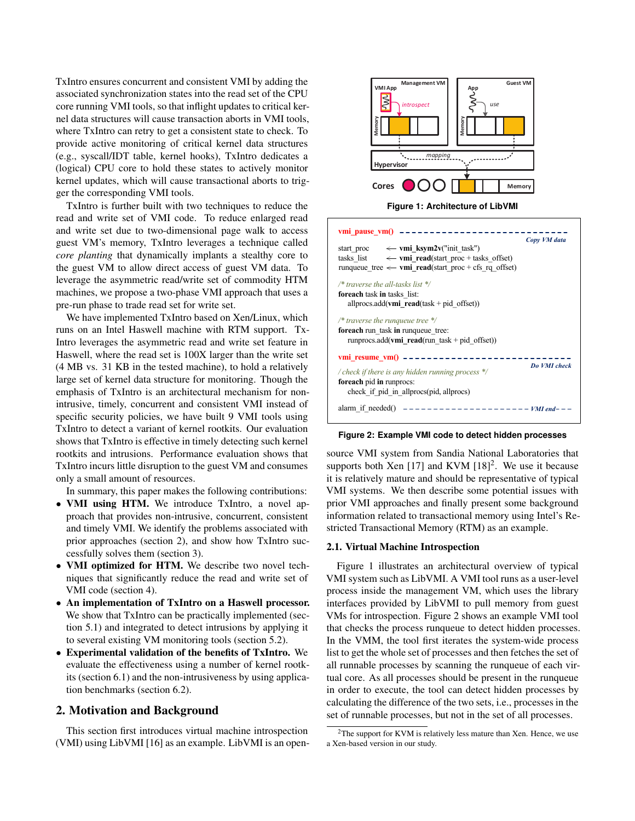TxIntro ensures concurrent and consistent VMI by adding the associated synchronization states into the read set of the CPU core running VMI tools, so that inflight updates to critical kernel data structures will cause transaction aborts in VMI tools, where TxIntro can retry to get a consistent state to check. To provide active monitoring of critical kernel data structures (e.g., syscall/IDT table, kernel hooks), TxIntro dedicates a (logical) CPU core to hold these states to actively monitor kernel updates, which will cause transactional aborts to trigger the corresponding VMI tools.

TxIntro is further built with two techniques to reduce the read and write set of VMI code. To reduce enlarged read and write set due to two-dimensional page walk to access guest VM's memory, TxIntro leverages a technique called *core planting* that dynamically implants a stealthy core to the guest VM to allow direct access of guest VM data. To leverage the asymmetric read/write set of commodity HTM machines, we propose a two-phase VMI approach that uses a pre-run phase to trade read set for write set.

We have implemented TxIntro based on Xen/Linux, which runs on an Intel Haswell machine with RTM support. Tx-Intro leverages the asymmetric read and write set feature in Haswell, where the read set is 100X larger than the write set (4 MB vs. 31 KB in the tested machine), to hold a relatively large set of kernel data structure for monitoring. Though the emphasis of TxIntro is an architectural mechanism for nonintrusive, timely, concurrent and consistent VMI instead of specific security policies, we have built 9 VMI tools using TxIntro to detect a variant of kernel rootkits. Our evaluation shows that TxIntro is effective in timely detecting such kernel rootkits and intrusions. Performance evaluation shows that TxIntro incurs little disruption to the guest VM and consumes only a small amount of resources.

In summary, this paper makes the following contributions:

- VMI using HTM. We introduce TxIntro, a novel approach that provides non-intrusive, concurrent, consistent and timely VMI. We identify the problems associated with prior approaches (section 2), and show how TxIntro successfully solves them (section 3).
- **VMI optimized for HTM.** We describe two novel techniques that significantly reduce the read and write set of VMI code (section 4).
- An implementation of TxIntro on a Haswell processor. We show that TxIntro can be practically implemented (section 5.1) and integrated to detect intrusions by applying it to several existing VM monitoring tools (section 5.2).
- Experimental validation of the benefits of TxIntro. We evaluate the effectiveness using a number of kernel rootkits (section 6.1) and the non-intrusiveness by using application benchmarks (section 6.2).

# 2. Motivation and Background

This section first introduces virtual machine introspection (VMI) using LibVMI [16] as an example. LibVMI is an open-



**Figure 1: Architecture of LibVMI**



**Figure 2: Example VMI code to detect hidden processes**

source VMI system from Sandia National Laboratories that supports both Xen [17] and KVM  $[18]^2$ . We use it because it is relatively mature and should be representative of typical VMI systems. We then describe some potential issues with prior VMI approaches and finally present some background information related to transactional memory using Intel's Restricted Transactional Memory (RTM) as an example.

#### 2.1. Virtual Machine Introspection

Figure 1 illustrates an architectural overview of typical VMI system such as LibVMI. A VMI tool runs as a user-level process inside the management VM, which uses the library interfaces provided by LibVMI to pull memory from guest VMs for introspection. Figure 2 shows an example VMI tool that checks the process runqueue to detect hidden processes. In the VMM, the tool first iterates the system-wide process list to get the whole set of processes and then fetches the set of all runnable processes by scanning the runqueue of each virtual core. As all processes should be present in the runqueue in order to execute, the tool can detect hidden processes by calculating the difference of the two sets, i.e., processes in the set of runnable processes, but not in the set of all processes.

 $2$ The support for KVM is relatively less mature than Xen. Hence, we use a Xen-based version in our study.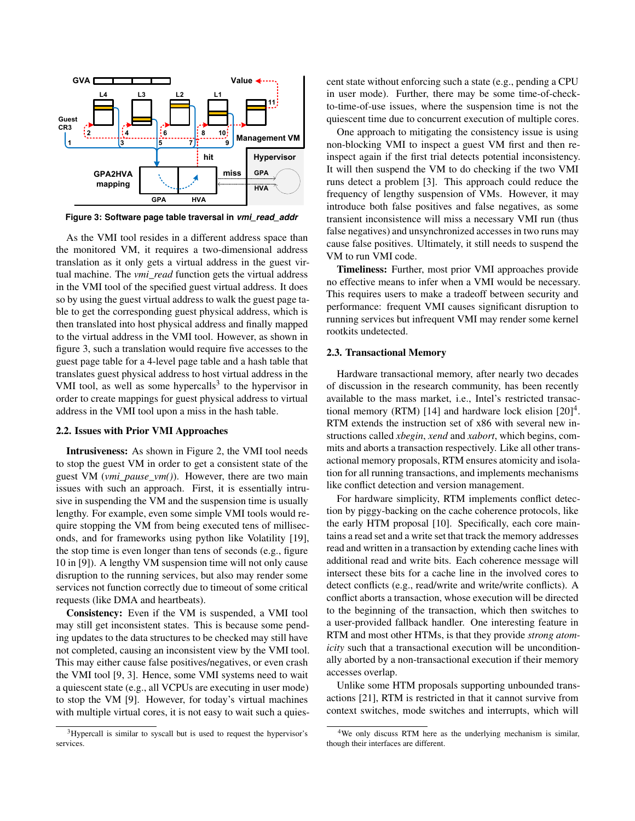

**Figure 3: Software page table traversal in** *vmi\_read\_addr*

As the VMI tool resides in a different address space than the monitored VM, it requires a two-dimensional address translation as it only gets a virtual address in the guest virtual machine. The *vmi\_read* function gets the virtual address in the VMI tool of the specified guest virtual address. It does so by using the guest virtual address to walk the guest page table to get the corresponding guest physical address, which is then translated into host physical address and finally mapped to the virtual address in the VMI tool. However, as shown in figure 3, such a translation would require five accesses to the guest page table for a 4-level page table and a hash table that translates guest physical address to host virtual address in the VMI tool, as well as some hypercalls<sup>3</sup> to the hypervisor in order to create mappings for guest physical address to virtual address in the VMI tool upon a miss in the hash table.

### 2.2. Issues with Prior VMI Approaches

Intrusiveness: As shown in Figure 2, the VMI tool needs to stop the guest VM in order to get a consistent state of the guest VM (*vmi\_pause\_vm()*). However, there are two main issues with such an approach. First, it is essentially intrusive in suspending the VM and the suspension time is usually lengthy. For example, even some simple VMI tools would require stopping the VM from being executed tens of milliseconds, and for frameworks using python like Volatility [19], the stop time is even longer than tens of seconds (e.g., figure 10 in [9]). A lengthy VM suspension time will not only cause disruption to the running services, but also may render some services not function correctly due to timeout of some critical requests (like DMA and heartbeats).

Consistency: Even if the VM is suspended, a VMI tool may still get inconsistent states. This is because some pending updates to the data structures to be checked may still have not completed, causing an inconsistent view by the VMI tool. This may either cause false positives/negatives, or even crash the VMI tool [9, 3]. Hence, some VMI systems need to wait a quiescent state (e.g., all VCPUs are executing in user mode) to stop the VM [9]. However, for today's virtual machines with multiple virtual cores, it is not easy to wait such a quiescent state without enforcing such a state (e.g., pending a CPU in user mode). Further, there may be some time-of-checkto-time-of-use issues, where the suspension time is not the quiescent time due to concurrent execution of multiple cores.

One approach to mitigating the consistency issue is using non-blocking VMI to inspect a guest VM first and then reinspect again if the first trial detects potential inconsistency. It will then suspend the VM to do checking if the two VMI runs detect a problem [3]. This approach could reduce the frequency of lengthy suspension of VMs. However, it may introduce both false positives and false negatives, as some transient inconsistence will miss a necessary VMI run (thus false negatives) and unsynchronized accesses in two runs may cause false positives. Ultimately, it still needs to suspend the VM to run VMI code.

Timeliness: Further, most prior VMI approaches provide no effective means to infer when a VMI would be necessary. This requires users to make a tradeoff between security and performance: frequent VMI causes significant disruption to running services but infrequent VMI may render some kernel rootkits undetected.

#### 2.3. Transactional Memory

Hardware transactional memory, after nearly two decades of discussion in the research community, has been recently available to the mass market, i.e., Intel's restricted transactional memory (RTM) [14] and hardware lock elision  $[20]^4$ . RTM extends the instruction set of x86 with several new instructions called *xbegin*, *xend* and *xabort*, which begins, commits and aborts a transaction respectively. Like all other transactional memory proposals, RTM ensures atomicity and isolation for all running transactions, and implements mechanisms like conflict detection and version management.

For hardware simplicity, RTM implements conflict detection by piggy-backing on the cache coherence protocols, like the early HTM proposal [10]. Specifically, each core maintains a read set and a write set that track the memory addresses read and written in a transaction by extending cache lines with additional read and write bits. Each coherence message will intersect these bits for a cache line in the involved cores to detect conflicts (e.g., read/write and write/write conflicts). A conflict aborts a transaction, whose execution will be directed to the beginning of the transaction, which then switches to a user-provided fallback handler. One interesting feature in RTM and most other HTMs, is that they provide *strong atomicity* such that a transactional execution will be unconditionally aborted by a non-transactional execution if their memory accesses overlap.

Unlike some HTM proposals supporting unbounded transactions [21], RTM is restricted in that it cannot survive from context switches, mode switches and interrupts, which will

<sup>&</sup>lt;sup>3</sup>Hypercall is similar to syscall but is used to request the hypervisor's services.

<sup>4</sup>We only discuss RTM here as the underlying mechanism is similar, though their interfaces are different.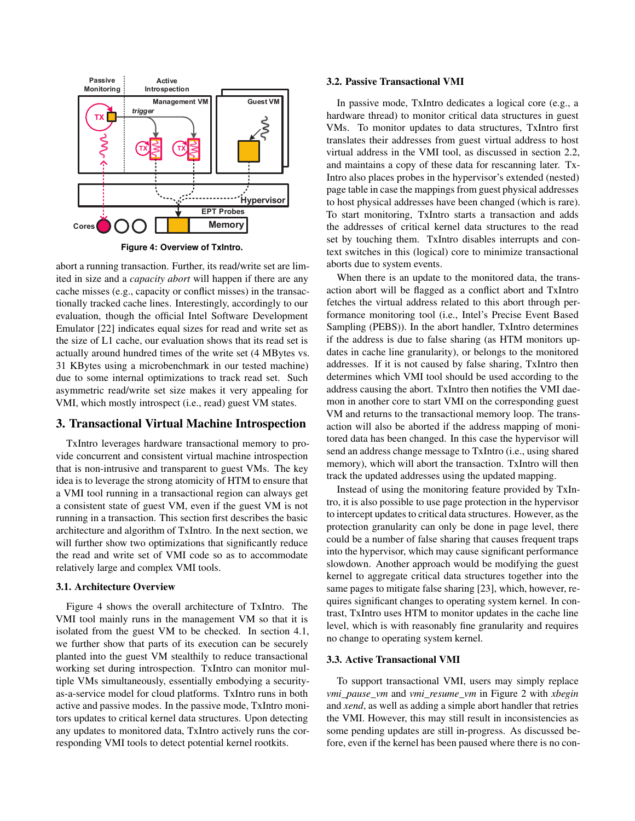

**Figure 4: Overview of TxIntro.**

abort a running transaction. Further, its read/write set are limited in size and a *capacity abort* will happen if there are any cache misses (e.g., capacity or conflict misses) in the transactionally tracked cache lines. Interestingly, accordingly to our evaluation, though the official Intel Software Development Emulator [22] indicates equal sizes for read and write set as the size of L1 cache, our evaluation shows that its read set is actually around hundred times of the write set (4 MBytes vs. 31 KBytes using a microbenchmark in our tested machine) due to some internal optimizations to track read set. Such asymmetric read/write set size makes it very appealing for VMI, which mostly introspect (i.e., read) guest VM states.

## 3. Transactional Virtual Machine Introspection

TxIntro leverages hardware transactional memory to provide concurrent and consistent virtual machine introspection that is non-intrusive and transparent to guest VMs. The key idea is to leverage the strong atomicity of HTM to ensure that a VMI tool running in a transactional region can always get a consistent state of guest VM, even if the guest VM is not running in a transaction. This section first describes the basic architecture and algorithm of TxIntro. In the next section, we will further show two optimizations that significantly reduce the read and write set of VMI code so as to accommodate relatively large and complex VMI tools.

#### 3.1. Architecture Overview

Figure 4 shows the overall architecture of TxIntro. The VMI tool mainly runs in the management VM so that it is isolated from the guest VM to be checked. In section 4.1, we further show that parts of its execution can be securely planted into the guest VM stealthily to reduce transactional working set during introspection. TxIntro can monitor multiple VMs simultaneously, essentially embodying a securityas-a-service model for cloud platforms. TxIntro runs in both active and passive modes. In the passive mode, TxIntro monitors updates to critical kernel data structures. Upon detecting any updates to monitored data, TxIntro actively runs the corresponding VMI tools to detect potential kernel rootkits.

#### 3.2. Passive Transactional VMI

In passive mode, TxIntro dedicates a logical core (e.g., a hardware thread) to monitor critical data structures in guest VMs. To monitor updates to data structures, TxIntro first translates their addresses from guest virtual address to host virtual address in the VMI tool, as discussed in section 2.2, and maintains a copy of these data for rescanning later. Tx-Intro also places probes in the hypervisor's extended (nested) page table in case the mappings from guest physical addresses to host physical addresses have been changed (which is rare). To start monitoring, TxIntro starts a transaction and adds the addresses of critical kernel data structures to the read set by touching them. TxIntro disables interrupts and context switches in this (logical) core to minimize transactional aborts due to system events.

When there is an update to the monitored data, the transaction abort will be flagged as a conflict abort and TxIntro fetches the virtual address related to this abort through performance monitoring tool (i.e., Intel's Precise Event Based Sampling (PEBS)). In the abort handler, TxIntro determines if the address is due to false sharing (as HTM monitors updates in cache line granularity), or belongs to the monitored addresses. If it is not caused by false sharing, TxIntro then determines which VMI tool should be used according to the address causing the abort. TxIntro then notifies the VMI daemon in another core to start VMI on the corresponding guest VM and returns to the transactional memory loop. The transaction will also be aborted if the address mapping of monitored data has been changed. In this case the hypervisor will send an address change message to TxIntro (i.e., using shared memory), which will abort the transaction. TxIntro will then track the updated addresses using the updated mapping.

Instead of using the monitoring feature provided by TxIntro, it is also possible to use page protection in the hypervisor to intercept updates to critical data structures. However, as the protection granularity can only be done in page level, there could be a number of false sharing that causes frequent traps into the hypervisor, which may cause significant performance slowdown. Another approach would be modifying the guest kernel to aggregate critical data structures together into the same pages to mitigate false sharing [23], which, however, requires significant changes to operating system kernel. In contrast, TxIntro uses HTM to monitor updates in the cache line level, which is with reasonably fine granularity and requires no change to operating system kernel.

#### 3.3. Active Transactional VMI

To support transactional VMI, users may simply replace *vmi\_pause\_vm* and *vmi\_resume\_vm* in Figure 2 with *xbegin* and *xend*, as well as adding a simple abort handler that retries the VMI. However, this may still result in inconsistencies as some pending updates are still in-progress. As discussed before, even if the kernel has been paused where there is no con-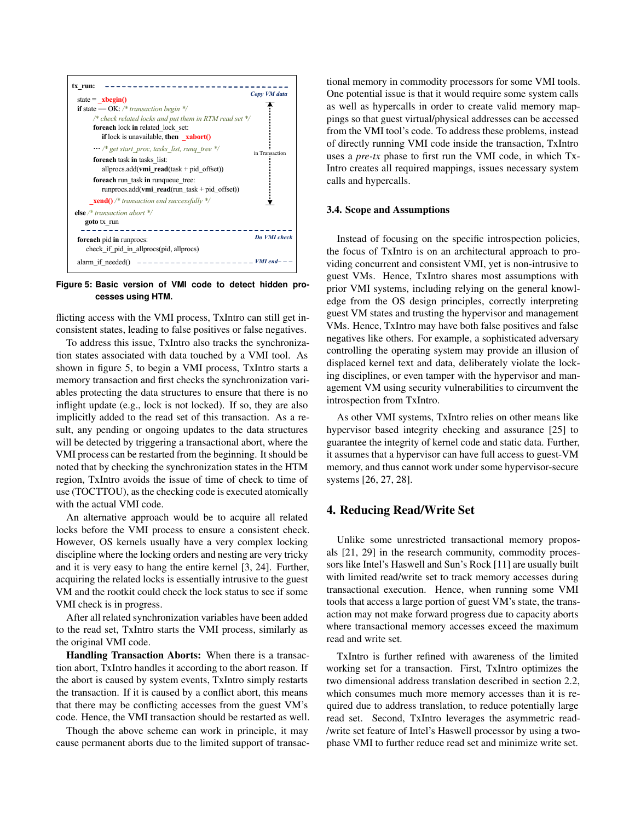

**Figure 5: Basic version of VMI code to detect hidden processes using HTM.**

flicting access with the VMI process, TxIntro can still get inconsistent states, leading to false positives or false negatives.

To address this issue, TxIntro also tracks the synchronization states associated with data touched by a VMI tool. As shown in figure 5, to begin a VMI process, TxIntro starts a memory transaction and first checks the synchronization variables protecting the data structures to ensure that there is no inflight update (e.g., lock is not locked). If so, they are also implicitly added to the read set of this transaction. As a result, any pending or ongoing updates to the data structures will be detected by triggering a transactional abort, where the VMI process can be restarted from the beginning. It should be noted that by checking the synchronization states in the HTM region, TxIntro avoids the issue of time of check to time of use (TOCTTOU), as the checking code is executed atomically with the actual VMI code.

An alternative approach would be to acquire all related locks before the VMI process to ensure a consistent check. However, OS kernels usually have a very complex locking discipline where the locking orders and nesting are very tricky and it is very easy to hang the entire kernel [3, 24]. Further, acquiring the related locks is essentially intrusive to the guest VM and the rootkit could check the lock status to see if some VMI check is in progress.

After all related synchronization variables have been added to the read set, TxIntro starts the VMI process, similarly as the original VMI code.

Handling Transaction Aborts: When there is a transaction abort, TxIntro handles it according to the abort reason. If the abort is caused by system events, TxIntro simply restarts the transaction. If it is caused by a conflict abort, this means that there may be conflicting accesses from the guest VM's code. Hence, the VMI transaction should be restarted as well.

Though the above scheme can work in principle, it may cause permanent aborts due to the limited support of transactional memory in commodity processors for some VMI tools. One potential issue is that it would require some system calls as well as hypercalls in order to create valid memory mappings so that guest virtual/physical addresses can be accessed from the VMI tool's code. To address these problems, instead of directly running VMI code inside the transaction, TxIntro uses a *pre-tx* phase to first run the VMI code, in which Tx-Intro creates all required mappings, issues necessary system calls and hypercalls.

#### 3.4. Scope and Assumptions

Instead of focusing on the specific introspection policies, the focus of TxIntro is on an architectural approach to providing concurrent and consistent VMI, yet is non-intrusive to guest VMs. Hence, TxIntro shares most assumptions with prior VMI systems, including relying on the general knowledge from the OS design principles, correctly interpreting guest VM states and trusting the hypervisor and management VMs. Hence, TxIntro may have both false positives and false negatives like others. For example, a sophisticated adversary controlling the operating system may provide an illusion of displaced kernel text and data, deliberately violate the locking disciplines, or even tamper with the hypervisor and management VM using security vulnerabilities to circumvent the introspection from TxIntro.

As other VMI systems, TxIntro relies on other means like hypervisor based integrity checking and assurance [25] to guarantee the integrity of kernel code and static data. Further, it assumes that a hypervisor can have full access to guest-VM memory, and thus cannot work under some hypervisor-secure systems [26, 27, 28].

# 4. Reducing Read/Write Set

Unlike some unrestricted transactional memory proposals [21, 29] in the research community, commodity processors like Intel's Haswell and Sun's Rock [11] are usually built with limited read/write set to track memory accesses during transactional execution. Hence, when running some VMI tools that access a large portion of guest VM's state, the transaction may not make forward progress due to capacity aborts where transactional memory accesses exceed the maximum read and write set.

TxIntro is further refined with awareness of the limited working set for a transaction. First, TxIntro optimizes the two dimensional address translation described in section 2.2, which consumes much more memory accesses than it is required due to address translation, to reduce potentially large read set. Second, TxIntro leverages the asymmetric read- /write set feature of Intel's Haswell processor by using a twophase VMI to further reduce read set and minimize write set.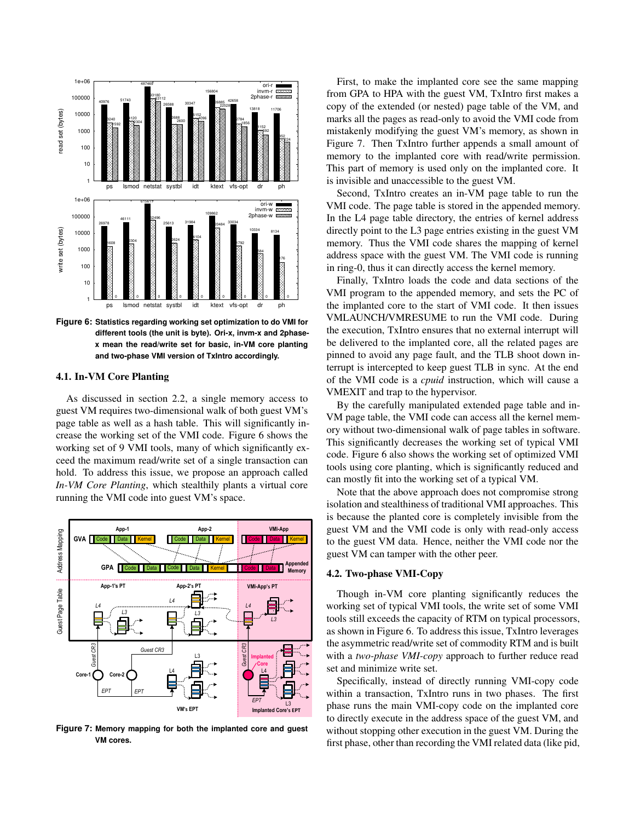

**Figure 6: Statistics regarding working set optimization to do VMI for different tools (the unit is byte). Ori-x, invm-x and 2phasex mean the read/write set for basic, in-VM core planting and two-phase VMI version of TxIntro accordingly.**

### 4.1. In-VM Core Planting

As discussed in section 2.2, a single memory access to guest VM requires two-dimensional walk of both guest VM's page table as well as a hash table. This will significantly increase the working set of the VMI code. Figure 6 shows the working set of 9 VMI tools, many of which significantly exceed the maximum read/write set of a single transaction can hold. To address this issue, we propose an approach called *In-VM Core Planting*, which stealthily plants a virtual core running the VMI code into guest VM's space.



**Figure 7: Memory mapping for both the implanted core and guest VM cores.**

First, to make the implanted core see the same mapping from GPA to HPA with the guest VM, TxIntro first makes a copy of the extended (or nested) page table of the VM, and marks all the pages as read-only to avoid the VMI code from mistakenly modifying the guest VM's memory, as shown in Figure 7. Then TxIntro further appends a small amount of memory to the implanted core with read/write permission. This part of memory is used only on the implanted core. It is invisible and unaccessible to the guest VM.

Second, TxIntro creates an in-VM page table to run the VMI code. The page table is stored in the appended memory. In the L4 page table directory, the entries of kernel address directly point to the L3 page entries existing in the guest VM memory. Thus the VMI code shares the mapping of kernel address space with the guest VM. The VMI code is running in ring-0, thus it can directly access the kernel memory.

Finally, TxIntro loads the code and data sections of the VMI program to the appended memory, and sets the PC of the implanted core to the start of VMI code. It then issues VMLAUNCH/VMRESUME to run the VMI code. During the execution, TxIntro ensures that no external interrupt will be delivered to the implanted core, all the related pages are pinned to avoid any page fault, and the TLB shoot down interrupt is intercepted to keep guest TLB in sync. At the end of the VMI code is a *cpuid* instruction, which will cause a VMEXIT and trap to the hypervisor.

By the carefully manipulated extended page table and in-VM page table, the VMI code can access all the kernel memory without two-dimensional walk of page tables in software. This significantly decreases the working set of typical VMI code. Figure 6 also shows the working set of optimized VMI tools using core planting, which is significantly reduced and can mostly fit into the working set of a typical VM.

Note that the above approach does not compromise strong isolation and stealthiness of traditional VMI approaches. This is because the planted core is completely invisible from the guest VM and the VMI code is only with read-only access to the guest VM data. Hence, neither the VMI code nor the guest VM can tamper with the other peer.

#### 4.2. Two-phase VMI-Copy

Though in-VM core planting significantly reduces the working set of typical VMI tools, the write set of some VMI tools still exceeds the capacity of RTM on typical processors, as shown in Figure 6. To address this issue, TxIntro leverages the asymmetric read/write set of commodity RTM and is built with a *two-phase VMI-copy* approach to further reduce read set and minimize write set.

Specifically, instead of directly running VMI-copy code within a transaction, TxIntro runs in two phases. The first phase runs the main VMI-copy code on the implanted core to directly execute in the address space of the guest VM, and without stopping other execution in the guest VM. During the first phase, other than recording the VMI related data (like pid,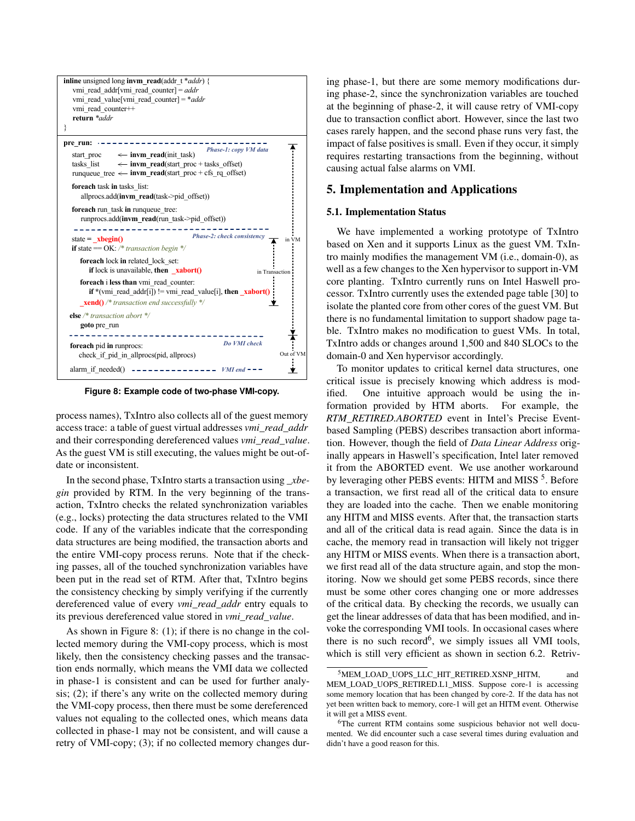

**Figure 8: Example code of two-phase VMI-copy.**

process names), TxIntro also collects all of the guest memory access trace: a table of guest virtual addresses *vmi\_read\_addr* and their corresponding dereferenced values *vmi\_read\_value*. As the guest VM is still executing, the values might be out-ofdate or inconsistent.

In the second phase, TxIntro starts a transaction using *\_xbegin* provided by RTM. In the very beginning of the transaction, TxIntro checks the related synchronization variables (e.g., locks) protecting the data structures related to the VMI code. If any of the variables indicate that the corresponding data structures are being modified, the transaction aborts and the entire VMI-copy process reruns. Note that if the checking passes, all of the touched synchronization variables have been put in the read set of RTM. After that, TxIntro begins the consistency checking by simply verifying if the currently dereferenced value of every *vmi\_read\_addr* entry equals to its previous dereferenced value stored in *vmi\_read\_value*.

As shown in Figure 8: (1); if there is no change in the collected memory during the VMI-copy process, which is most likely, then the consistency checking passes and the transaction ends normally, which means the VMI data we collected in phase-1 is consistent and can be used for further analysis; (2); if there's any write on the collected memory during the VMI-copy process, then there must be some dereferenced values not equaling to the collected ones, which means data collected in phase-1 may not be consistent, and will cause a retry of VMI-copy; (3); if no collected memory changes during phase-1, but there are some memory modifications during phase-2, since the synchronization variables are touched at the beginning of phase-2, it will cause retry of VMI-copy due to transaction conflict abort. However, since the last two cases rarely happen, and the second phase runs very fast, the impact of false positives is small. Even if they occur, it simply requires restarting transactions from the beginning, without causing actual false alarms on VMI.

# 5. Implementation and Applications

#### 5.1. Implementation Status

We have implemented a working prototype of TxIntro based on Xen and it supports Linux as the guest VM. TxIntro mainly modifies the management VM (i.e., domain-0), as well as a few changes to the Xen hypervisor to support in-VM core planting. TxIntro currently runs on Intel Haswell processor. TxIntro currently uses the extended page table [30] to isolate the planted core from other cores of the guest VM. But there is no fundamental limitation to support shadow page table. TxIntro makes no modification to guest VMs. In total, TxIntro adds or changes around 1,500 and 840 SLOCs to the domain-0 and Xen hypervisor accordingly.

To monitor updates to critical kernel data structures, one critical issue is precisely knowing which address is modified. One intuitive approach would be using the information provided by HTM aborts. For example, the *RTM\_RETIRED.ABORTED* event in Intel's Precise Eventbased Sampling (PEBS) describes transaction abort information. However, though the field of *Data Linear Address* originally appears in Haswell's specification, Intel later removed it from the ABORTED event. We use another workaround by leveraging other PEBS events: HITM and MISS <sup>5</sup>. Before a transaction, we first read all of the critical data to ensure they are loaded into the cache. Then we enable monitoring any HITM and MISS events. After that, the transaction starts and all of the critical data is read again. Since the data is in cache, the memory read in transaction will likely not trigger any HITM or MISS events. When there is a transaction abort, we first read all of the data structure again, and stop the monitoring. Now we should get some PEBS records, since there must be some other cores changing one or more addresses of the critical data. By checking the records, we usually can get the linear addresses of data that has been modified, and invoke the corresponding VMI tools. In occasional cases where there is no such record<sup>6</sup>, we simply issues all VMI tools, which is still very efficient as shown in section 6.2. Retriv-

<sup>&</sup>lt;sup>5</sup>MEM\_LOAD\_UOPS\_LLC\_HIT\_RETIRED.XSNP\_HITM, and MEM\_LOAD\_UOPS\_RETIRED.L1\_MISS. Suppose core-1 is accessing some memory location that has been changed by core-2. If the data has not yet been written back to memory, core-1 will get an HITM event. Otherwise it will get a MISS event.

<sup>&</sup>lt;sup>6</sup>The current RTM contains some suspicious behavior not well documented. We did encounter such a case several times during evaluation and didn't have a good reason for this.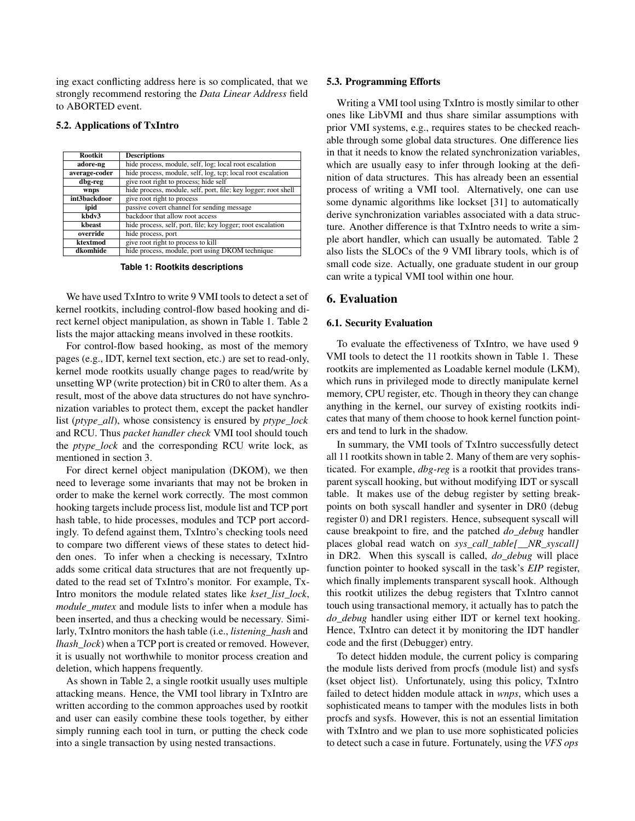ing exact conflicting address here is so complicated, that we strongly recommend restoring the *Data Linear Address* field to ABORTED event.

#### 5.2. Applications of TxIntro

| <b>Rootkit</b> | <b>Descriptions</b>                                            |  |  |  |  |
|----------------|----------------------------------------------------------------|--|--|--|--|
| adore-ng       | hide process, module, self, log; local root escalation         |  |  |  |  |
| average-coder  | hide process, module, self, log, tcp; local root escalation    |  |  |  |  |
| dbg-reg        | give root right to process; hide self                          |  |  |  |  |
| wnps           | hide process, module, self, port, file; key logger; root shell |  |  |  |  |
| int3backdoor   | give root right to process                                     |  |  |  |  |
| ipid           | passive covert channel for sending message                     |  |  |  |  |
| kbdv3          | backdoor that allow root access                                |  |  |  |  |
| kheast         | hide process, self, port, file; key logger; root escalation    |  |  |  |  |
| override       | hide process, port                                             |  |  |  |  |
| ktextmod       | give root right to process to kill                             |  |  |  |  |
| dkomhide       | hide process, module, port using DKOM technique                |  |  |  |  |

**Table 1: Rootkits descriptions**

We have used TxIntro to write 9 VMI tools to detect a set of kernel rootkits, including control-flow based hooking and direct kernel object manipulation, as shown in Table 1. Table 2 lists the major attacking means involved in these rootkits.

For control-flow based hooking, as most of the memory pages (e.g., IDT, kernel text section, etc.) are set to read-only, kernel mode rootkits usually change pages to read/write by unsetting WP (write protection) bit in CR0 to alter them. As a result, most of the above data structures do not have synchronization variables to protect them, except the packet handler list (*ptype\_all*), whose consistency is ensured by *ptype\_lock* and RCU. Thus *packet handler check* VMI tool should touch the *ptype\_lock* and the corresponding RCU write lock, as mentioned in section 3.

For direct kernel object manipulation (DKOM), we then need to leverage some invariants that may not be broken in order to make the kernel work correctly. The most common hooking targets include process list, module list and TCP port hash table, to hide processes, modules and TCP port accordingly. To defend against them, TxIntro's checking tools need to compare two different views of these states to detect hidden ones. To infer when a checking is necessary, TxIntro adds some critical data structures that are not frequently updated to the read set of TxIntro's monitor. For example, Tx-Intro monitors the module related states like *kset\_list\_lock*, *module\_mutex* and module lists to infer when a module has been inserted, and thus a checking would be necessary. Similarly, TxIntro monitors the hash table (i.e., *listening\_hash* and *lhash\_lock*) when a TCP port is created or removed. However, it is usually not worthwhile to monitor process creation and deletion, which happens frequently.

As shown in Table 2, a single rootkit usually uses multiple attacking means. Hence, the VMI tool library in TxIntro are written according to the common approaches used by rootkit and user can easily combine these tools together, by either simply running each tool in turn, or putting the check code into a single transaction by using nested transactions.

#### 5.3. Programming Efforts

Writing a VMI tool using TxIntro is mostly similar to other ones like LibVMI and thus share similar assumptions with prior VMI systems, e.g., requires states to be checked reachable through some global data structures. One difference lies in that it needs to know the related synchronization variables, which are usually easy to infer through looking at the definition of data structures. This has already been an essential process of writing a VMI tool. Alternatively, one can use some dynamic algorithms like lockset [31] to automatically derive synchronization variables associated with a data structure. Another difference is that TxIntro needs to write a simple abort handler, which can usually be automated. Table 2 also lists the SLOCs of the 9 VMI library tools, which is of small code size. Actually, one graduate student in our group can write a typical VMI tool within one hour.

# 6. Evaluation

#### 6.1. Security Evaluation

To evaluate the effectiveness of TxIntro, we have used 9 VMI tools to detect the 11 rootkits shown in Table 1. These rootkits are implemented as Loadable kernel module (LKM), which runs in privileged mode to directly manipulate kernel memory, CPU register, etc. Though in theory they can change anything in the kernel, our survey of existing rootkits indicates that many of them choose to hook kernel function pointers and tend to lurk in the shadow.

In summary, the VMI tools of TxIntro successfully detect all 11 rootkits shown in table 2. Many of them are very sophisticated. For example, *dbg-reg* is a rootkit that provides transparent syscall hooking, but without modifying IDT or syscall table. It makes use of the debug register by setting breakpoints on both syscall handler and sysenter in DR0 (debug register 0) and DR1 registers. Hence, subsequent syscall will cause breakpoint to fire, and the patched *do\_debug* handler places global read watch on *sys\_call\_table[\_\_NR\_syscall]* in DR2. When this syscall is called, *do\_debug* will place function pointer to hooked syscall in the task's *EIP* register, which finally implements transparent syscall hook. Although this rootkit utilizes the debug registers that TxIntro cannot touch using transactional memory, it actually has to patch the *do\_debug* handler using either IDT or kernel text hooking. Hence, TxIntro can detect it by monitoring the IDT handler code and the first (Debugger) entry.

To detect hidden module, the current policy is comparing the module lists derived from procfs (module list) and sysfs (kset object list). Unfortunately, using this policy, TxIntro failed to detect hidden module attack in *wnps*, which uses a sophisticated means to tamper with the modules lists in both procfs and sysfs. However, this is not an essential limitation with TxIntro and we plan to use more sophisticated policies to detect such a case in future. Fortunately, using the *VFS ops*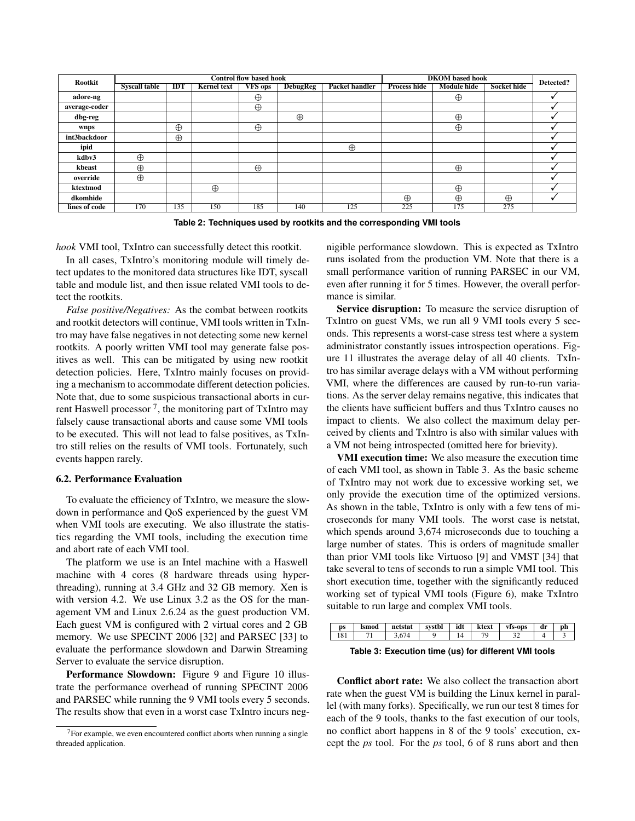| <b>Rootkit</b> |                      |            |                    | <b>Control flow based hook</b> | <b>DKOM</b> based hook | Detected?      |                     |             |             |  |
|----------------|----------------------|------------|--------------------|--------------------------------|------------------------|----------------|---------------------|-------------|-------------|--|
|                | <b>Syscall table</b> | <b>IDT</b> | <b>Kernel text</b> | <b>VFS</b> ops                 | <b>DebugReg</b>        | Packet handler | <b>Process hide</b> | Module hide | Socket hide |  |
| adore-ng       |                      |            |                    | $\oplus$                       |                        |                |                     | $\oplus$    |             |  |
| average-coder  |                      |            |                    | $\oplus$                       |                        |                |                     |             |             |  |
| dbg-reg        |                      |            |                    |                                | $\oplus$               |                |                     | $\oplus$    |             |  |
| wnps           |                      | $\oplus$   |                    | $\oplus$                       |                        |                |                     | $\oplus$    |             |  |
| int3backdoor   |                      | $\oplus$   |                    |                                |                        |                |                     |             |             |  |
| ipid           |                      |            |                    |                                |                        | $\oplus$       |                     |             |             |  |
| kdbv3          | $\oplus$             |            |                    |                                |                        |                |                     |             |             |  |
| kbeast         | $\oplus$             |            |                    | $\oplus$                       |                        |                |                     | $\oplus$    |             |  |
| override       | $\oplus$             |            |                    |                                |                        |                |                     |             |             |  |
| ktextmod       |                      |            | $\oplus$           |                                |                        |                |                     | $\oplus$    |             |  |
| dkomhide       |                      |            |                    |                                |                        |                | $\oplus$            | $\oplus$    | $\oplus$    |  |
| lines of code  | 170                  | 135        | 150                | 185                            | 140                    | 125            | 225                 | 175         | 275         |  |

**Table 2: Techniques used by rootkits and the corresponding VMI tools**

*hook* VMI tool, TxIntro can successfully detect this rootkit.

In all cases, TxIntro's monitoring module will timely detect updates to the monitored data structures like IDT, syscall table and module list, and then issue related VMI tools to detect the rootkits.

*False positive/Negatives:* As the combat between rootkits and rootkit detectors will continue, VMI tools written in TxIntro may have false negatives in not detecting some new kernel rootkits. A poorly written VMI tool may generate false positives as well. This can be mitigated by using new rootkit detection policies. Here, TxIntro mainly focuses on providing a mechanism to accommodate different detection policies. Note that, due to some suspicious transactional aborts in current Haswell processor  $^7$ , the monitoring part of TxIntro may falsely cause transactional aborts and cause some VMI tools to be executed. This will not lead to false positives, as TxIntro still relies on the results of VMI tools. Fortunately, such events happen rarely.

### 6.2. Performance Evaluation

To evaluate the efficiency of TxIntro, we measure the slowdown in performance and QoS experienced by the guest VM when VMI tools are executing. We also illustrate the statistics regarding the VMI tools, including the execution time and abort rate of each VMI tool.

The platform we use is an Intel machine with a Haswell machine with 4 cores (8 hardware threads using hyperthreading), running at 3.4 GHz and 32 GB memory. Xen is with version 4.2. We use Linux 3.2 as the OS for the management VM and Linux 2.6.24 as the guest production VM. Each guest VM is configured with 2 virtual cores and 2 GB memory. We use SPECINT 2006 [32] and PARSEC [33] to evaluate the performance slowdown and Darwin Streaming Server to evaluate the service disruption.

Performance Slowdown: Figure 9 and Figure 10 illustrate the performance overhead of running SPECINT 2006 and PARSEC while running the 9 VMI tools every 5 seconds. The results show that even in a worst case TxIntro incurs negnigible performance slowdown. This is expected as TxIntro runs isolated from the production VM. Note that there is a small performance varition of running PARSEC in our VM, even after running it for 5 times. However, the overall performance is similar.

Service disruption: To measure the service disruption of TxIntro on guest VMs, we run all 9 VMI tools every 5 seconds. This represents a worst-case stress test where a system administrator constantly issues introspection operations. Figure 11 illustrates the average delay of all 40 clients. TxIntro has similar average delays with a VM without performing VMI, where the differences are caused by run-to-run variations. As the server delay remains negative, this indicates that the clients have sufficient buffers and thus TxIntro causes no impact to clients. We also collect the maximum delay perceived by clients and TxIntro is also with similar values with a VM not being introspected (omitted here for brievity).

VMI execution time: We also measure the execution time of each VMI tool, as shown in Table 3. As the basic scheme of TxIntro may not work due to excessive working set, we only provide the execution time of the optimized versions. As shown in the table, TxIntro is only with a few tens of microseconds for many VMI tools. The worst case is netstat, which spends around 3,674 microseconds due to touching a large number of states. This is orders of magnitude smaller than prior VMI tools like Virtuoso [9] and VMST [34] that take several to tens of seconds to run a simple VMI tool. This short execution time, together with the significantly reduced working set of typical VMI tools (Figure 6), make TxIntro suitable to run large and complex VMI tools.

| DS | Ismod | tstau | $\alpha$ vrot<br>/stbl | ıdı | ktext                    | /Is-ops | Am | mr.<br>,,, |
|----|-------|-------|------------------------|-----|--------------------------|---------|----|------------|
|    | $-1$  |       |                        |     | $\overline{\phantom{a}}$ | o.      |    |            |

**Table 3: Execution time (us) for different VMI tools**

Conflict abort rate: We also collect the transaction abort rate when the guest VM is building the Linux kernel in parallel (with many forks). Specifically, we run our test 8 times for each of the 9 tools, thanks to the fast execution of our tools, no conflict abort happens in 8 of the 9 tools' execution, except the *ps* tool. For the *ps* tool, 6 of 8 runs abort and then

 $7$ For example, we even encountered conflict aborts when running a single threaded application.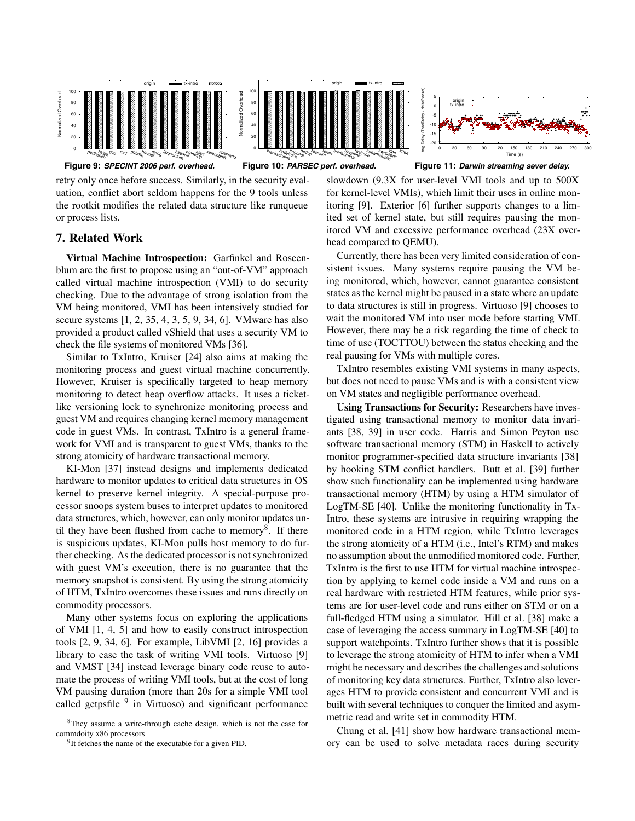





Figure 10: PARSEC perf. overhead.

retry only once before success. Similarly, in the security evaluation, conflict abort seldom happens for the 9 tools unless the rootkit modifies the related data structure like runqueue or process lists.

# 7. Related Work

Virtual Machine Introspection: Garfinkel and Roseenblum are the first to propose using an "out-of-VM" approach called virtual machine introspection (VMI) to do security checking. Due to the advantage of strong isolation from the VM being monitored, VMI has been intensively studied for secure systems [1, 2, 35, 4, 3, 5, 9, 34, 6]. VMware has also provided a product called vShield that uses a security VM to check the file systems of monitored VMs [36].

Similar to TxIntro, Kruiser [24] also aims at making the monitoring process and guest virtual machine concurrently. However, Kruiser is specifically targeted to heap memory monitoring to detect heap overflow attacks. It uses a ticketlike versioning lock to synchronize monitoring process and guest VM and requires changing kernel memory management code in guest VMs. In contrast, TxIntro is a general framework for VMI and is transparent to guest VMs, thanks to the strong atomicity of hardware transactional memory.

KI-Mon [37] instead designs and implements dedicated hardware to monitor updates to critical data structures in OS kernel to preserve kernel integrity. A special-purpose processor snoops system buses to interpret updates to monitored data structures, which, however, can only monitor updates until they have been flushed from cache to memory<sup>8</sup>. If there is suspicious updates, KI-Mon pulls host memory to do further checking. As the dedicated processor is not synchronized with guest VM's execution, there is no guarantee that the memory snapshot is consistent. By using the strong atomicity of HTM, TxIntro overcomes these issues and runs directly on commodity processors.

Many other systems focus on exploring the applications of VMI [1, 4, 5] and how to easily construct introspection tools [2, 9, 34, 6]. For example, LibVMI [2, 16] provides a library to ease the task of writing VMI tools. Virtuoso [9] and VMST [34] instead leverage binary code reuse to automate the process of writing VMI tools, but at the cost of long VM pausing duration (more than 20s for a simple VMI tool called getpsfile <sup>9</sup> in Virtuoso) and significant performance

**Figure 9:** *SPECINT 2006 perf. overhead.* **Figure 10:** *PARSEC perf. overhead.* **Figure 11:** *Darwin streaming sever delay.*

slowdown (9.3X for user-level VMI tools and up to 500X for kernel-level VMIs), which limit their uses in online monitoring [9]. Exterior [6] further supports changes to a limited set of kernel state, but still requires pausing the monitored VM and excessive performance overhead (23X overhead compared to QEMU).

Currently, there has been very limited consideration of consistent issues. Many systems require pausing the VM being monitored, which, however, cannot guarantee consistent states as the kernel might be paused in a state where an update to data structures is still in progress. Virtuoso [9] chooses to wait the monitored VM into user mode before starting VMI. However, there may be a risk regarding the time of check to time of use (TOCTTOU) between the status checking and the real pausing for VMs with multiple cores.

TxIntro resembles existing VMI systems in many aspects, but does not need to pause VMs and is with a consistent view on VM states and negligible performance overhead.

Using Transactions for Security: Researchers have investigated using transactional memory to monitor data invariants [38, 39] in user code. Harris and Simon Peyton use software transactional memory (STM) in Haskell to actively monitor programmer-specified data structure invariants [38] by hooking STM conflict handlers. Butt et al. [39] further show such functionality can be implemented using hardware transactional memory (HTM) by using a HTM simulator of LogTM-SE [40]. Unlike the monitoring functionality in Tx-Intro, these systems are intrusive in requiring wrapping the monitored code in a HTM region, while TxIntro leverages the strong atomicity of a HTM (i.e., Intel's RTM) and makes no assumption about the unmodified monitored code. Further, TxIntro is the first to use HTM for virtual machine introspection by applying to kernel code inside a VM and runs on a real hardware with restricted HTM features, while prior systems are for user-level code and runs either on STM or on a full-fledged HTM using a simulator. Hill et al. [38] make a case of leveraging the access summary in LogTM-SE [40] to support watchpoints. TxIntro further shows that it is possible to leverage the strong atomicity of HTM to infer when a VMI might be necessary and describes the challenges and solutions of monitoring key data structures. Further, TxIntro also leverages HTM to provide consistent and concurrent VMI and is built with several techniques to conquer the limited and asymmetric read and write set in commodity HTM.

Chung et al. [41] show how hardware transactional memory can be used to solve metadata races during security

<sup>8</sup>They assume a write-through cache design, which is not the case for commdoity x86 processors

<sup>&</sup>lt;sup>9</sup>It fetches the name of the executable for a given PID.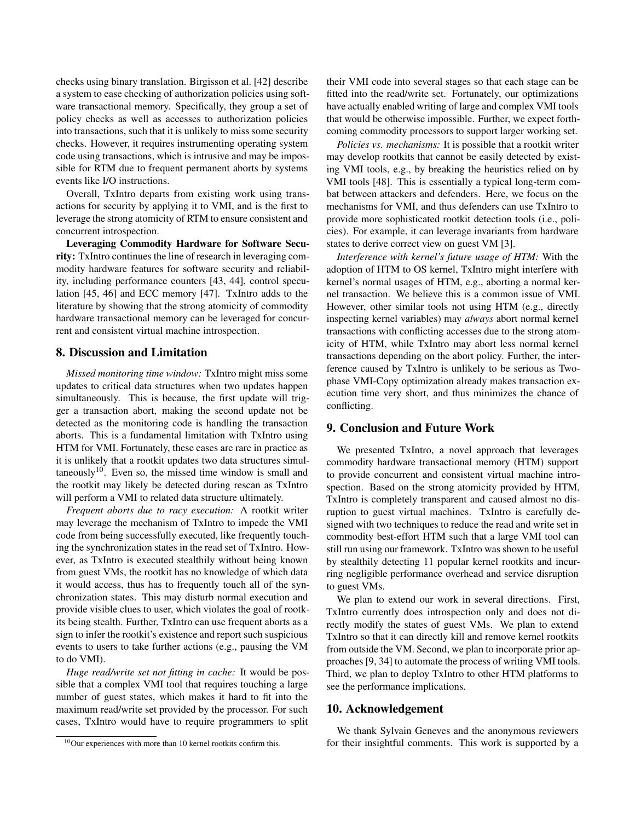checks using binary translation. Birgisson et al. [42] describe a system to ease checking of authorization policies using software transactional memory. Specifically, they group a set of policy checks as well as accesses to authorization policies into transactions, such that it is unlikely to miss some security checks. However, it requires instrumenting operating system code using transactions, which is intrusive and may be impossible for RTM due to frequent permanent aborts by systems events like I/O instructions.

Overall, TxIntro departs from existing work using transactions for security by applying it to VMI, and is the first to leverage the strong atomicity of RTM to ensure consistent and concurrent introspection.

Leveraging Commodity Hardware for Software Security: TxIntro continues the line of research in leveraging commodity hardware features for software security and reliability, including performance counters [43, 44], control speculation [45, 46] and ECC memory [47]. TxIntro adds to the literature by showing that the strong atomicity of commodity hardware transactional memory can be leveraged for concurrent and consistent virtual machine introspection.

# 8. Discussion and Limitation

*Missed monitoring time window:* TxIntro might miss some updates to critical data structures when two updates happen simultaneously. This is because, the first update will trigger a transaction abort, making the second update not be detected as the monitoring code is handling the transaction aborts. This is a fundamental limitation with TxIntro using HTM for VMI. Fortunately, these cases are rare in practice as it is unlikely that a rootkit updates two data structures simultaneously $10$ . Even so, the missed time window is small and the rootkit may likely be detected during rescan as TxIntro will perform a VMI to related data structure ultimately.

*Frequent aborts due to racy execution:* A rootkit writer may leverage the mechanism of TxIntro to impede the VMI code from being successfully executed, like frequently touching the synchronization states in the read set of TxIntro. However, as TxIntro is executed stealthily without being known from guest VMs, the rootkit has no knowledge of which data it would access, thus has to frequently touch all of the synchronization states. This may disturb normal execution and provide visible clues to user, which violates the goal of rootkits being stealth. Further, TxIntro can use frequent aborts as a sign to infer the rootkit's existence and report such suspicious events to users to take further actions (e.g., pausing the VM to do VMI).

*Huge read/write set not fitting in cache:* It would be possible that a complex VMI tool that requires touching a large number of guest states, which makes it hard to fit into the maximum read/write set provided by the processor. For such cases, TxIntro would have to require programmers to split

their VMI code into several stages so that each stage can be fitted into the read/write set. Fortunately, our optimizations have actually enabled writing of large and complex VMI tools that would be otherwise impossible. Further, we expect forthcoming commodity processors to support larger working set.

*Policies vs. mechanisms:* It is possible that a rootkit writer may develop rootkits that cannot be easily detected by existing VMI tools, e.g., by breaking the heuristics relied on by VMI tools [48]. This is essentially a typical long-term combat between attackers and defenders. Here, we focus on the mechanisms for VMI, and thus defenders can use TxIntro to provide more sophisticated rootkit detection tools (i.e., policies). For example, it can leverage invariants from hardware states to derive correct view on guest VM [3].

*Interference with kernel's future usage of HTM:* With the adoption of HTM to OS kernel, TxIntro might interfere with kernel's normal usages of HTM, e.g., aborting a normal kernel transaction. We believe this is a common issue of VMI. However, other similar tools not using HTM (e.g., directly inspecting kernel variables) may *always* abort normal kernel transactions with conflicting accesses due to the strong atomicity of HTM, while TxIntro may abort less normal kernel transactions depending on the abort policy. Further, the interference caused by TxIntro is unlikely to be serious as Twophase VMI-Copy optimization already makes transaction execution time very short, and thus minimizes the chance of conflicting.

# 9. Conclusion and Future Work

We presented TxIntro, a novel approach that leverages commodity hardware transactional memory (HTM) support to provide concurrent and consistent virtual machine introspection. Based on the strong atomicity provided by HTM, TxIntro is completely transparent and caused almost no disruption to guest virtual machines. TxIntro is carefully designed with two techniques to reduce the read and write set in commodity best-effort HTM such that a large VMI tool can still run using our framework. TxIntro was shown to be useful by stealthily detecting 11 popular kernel rootkits and incurring negligible performance overhead and service disruption to guest VMs.

We plan to extend our work in several directions. First, TxIntro currently does introspection only and does not directly modify the states of guest VMs. We plan to extend TxIntro so that it can directly kill and remove kernel rootkits from outside the VM. Second, we plan to incorporate prior approaches [9, 34] to automate the process of writing VMI tools. Third, we plan to deploy TxIntro to other HTM platforms to see the performance implications.

# 10. Acknowledgement

We thank Sylvain Geneves and the anonymous reviewers for their insightful comments. This work is supported by a

 $10$ Our experiences with more than 10 kernel rootkits confirm this.